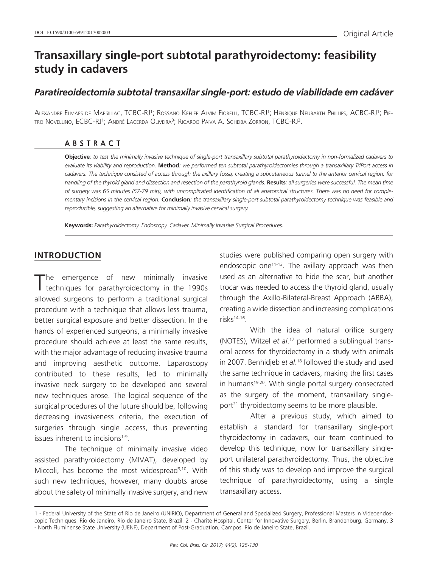# **Transaxillary single-port subtotal parathyroidectomy: feasibility study in cadavers**

### *Paratireoidectomia subtotal transaxilar single-port: estudo de viabilidade em cadáver*

Alexandre Elmães de Marsillac, TCBC-RJ<sup>1</sup>; Rossano Kepler Alvim Fiorelli, TCBC-RJ<sup>1</sup>; Henrique Neubarth Phillips, ACBC-RJ<sup>1</sup>; Pietro Novellino, ECBC-RJ<sup>1</sup>; André Lacerda Oliveira<sup>3</sup>; Ricardo Paiva A. Scheiba Zorron, TCBC-RJ<sup>2</sup>.

#### ABSTRACT

**Objective***: to test the minimally invasive technique of single-port transaxillary subtotal parathyroidectomy in non-formalized cadavers to evaluate its viability and reproduction.* **Method***: we performed ten subtotal parathyroidectomies through a transaxillary TriPort access in cadavers. The technique consisted of access through the axillary fossa, creating a subcutaneous tunnel to the anterior cervical region, for handling of the thyroid gland and dissection and resection of the parathyroid glands.* **Results***: all surgeries were successful. The mean time of surgery was 65 minutes (57-79 min), with uncomplicated identification of all anatomical structures. There was no need for complementary incisions in the cervical region.* **Conclusion***: the transaxillary single-port subtotal parathyroidectomy technique was feasible and reproducible, suggesting an alternative for minimally invasive cervical surgery.*

**Keywords:** *Parathyroidectomy. Endoscopy. Cadaver. Minimally Invasive Surgical Procedures.*

## **INTRODUCTION**

The emergence of new minimally invasive techniques for parathyroidectomy in the 1990s allowed surgeons to perform a traditional surgical procedure with a technique that allows less trauma, better surgical exposure and better dissection. In the hands of experienced surgeons, a minimally invasive procedure should achieve at least the same results, with the major advantage of reducing invasive trauma and improving aesthetic outcome. Laparoscopy contributed to these results, led to minimally invasive neck surgery to be developed and several new techniques arose. The logical sequence of the surgical procedures of the future should be, following decreasing invasiveness criteria, the execution of surgeries through single access, thus preventing issues inherent to incisions<sup>1-9</sup>.

The technique of minimally invasive video assisted parathyroidectomy (MIVAT), developed by Miccoli, has become the most widespread<sup>9,10</sup>. With such new techniques, however, many doubts arose about the safety of minimally invasive surgery, and new studies were published comparing open surgery with endoscopic one<sup>11-13</sup>. The axillary approach was then used as an alternative to hide the scar, but another trocar was needed to access the thyroid gland, usually through the Axillo-Bilateral-Breast Approach (ABBA), creating a wide dissection and increasing complications risks14-16.

With the idea of natural orifice surgery (NOTES), Witzel *et al*. 17 performed a sublingual transoral access for thyroidectomy in a study with animals in 2007. Benhidjeb *et al*. 18 followed the study and used the same technique in cadavers, making the first cases in humans<sup>19,20</sup>. With single portal surgery consecrated as the surgery of the moment, transaxillary singleport<sup>21</sup> thyroidectomy seems to be more plausible.

After a previous study, which aimed to establish a standard for transaxillary single-port thyroidectomy in cadavers, our team continued to develop this technique, now for transaxillary singleport unilateral parathyroidectomy. Thus, the objective of this study was to develop and improve the surgical technique of parathyroidectomy, using a single transaxillary access.

<sup>1 -</sup> Federal University of the State of Rio de Janeiro (UNIRIO), Department of General and Specialized Surgery, Professional Masters in Videoendoscopic Techniques, Rio de Janeiro, Rio de Janeiro State, Brazil. 2 - Charité Hospital, Center for Innovative Surgery, Berlin, Brandenburg, Germany. 3 - North Fluminense State University (UENF), Department of Post-Graduation, Campos, Rio de Janeiro State, Brazil.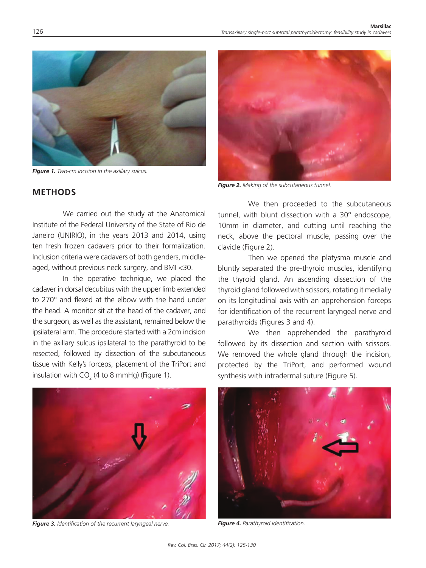

*Figure 1. Two-cm incision in the axillary sulcus.*

#### **METHODS**

We carried out the study at the Anatomical Institute of the Federal University of the State of Rio de Janeiro (UNIRIO), in the years 2013 and 2014, using ten fresh frozen cadavers prior to their formalization. Inclusion criteria were cadavers of both genders, middleaged, without previous neck surgery, and BMI <30.

In the operative technique, we placed the cadaver in dorsal decubitus with the upper limb extended to 270° and flexed at the elbow with the hand under the head. A monitor sit at the head of the cadaver, and the surgeon, as well as the assistant, remained below the ipsilateral arm. The procedure started with a 2cm incision in the axillary sulcus ipsilateral to the parathyroid to be resected, followed by dissection of the subcutaneous tissue with Kelly's forceps, placement of the TriPort and insulation with CO<sub>2</sub> (4 to 8 mmHg) (Figure 1).



*Figure 2. Making of the subcutaneous tunnel.*

We then proceeded to the subcutaneous tunnel, with blunt dissection with a 30° endoscope, 10mm in diameter, and cutting until reaching the neck, above the pectoral muscle, passing over the clavicle (Figure 2).

Then we opened the platysma muscle and bluntly separated the pre-thyroid muscles, identifying the thyroid gland. An ascending dissection of the thyroid gland followed with scissors, rotating it medially on its longitudinal axis with an apprehension forceps for identification of the recurrent laryngeal nerve and parathyroids (Figures 3 and 4).

We then apprehended the parathyroid followed by its dissection and section with scissors. We removed the whole gland through the incision, protected by the TriPort, and performed wound synthesis with intradermal suture (Figure 5).



*Figure 3. Identification of the recurrent laryngeal nerve. Figure 4. Parathyroid identification.*

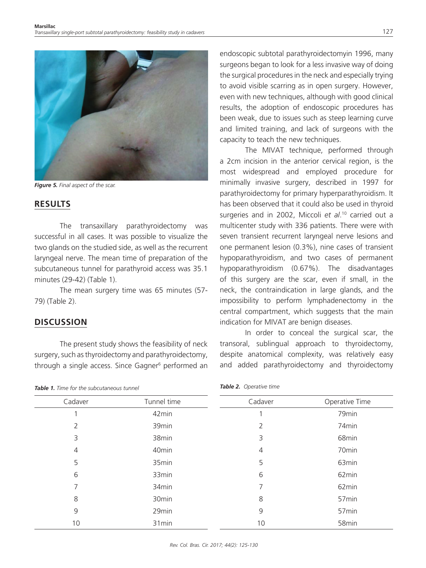

*Figure 5. Final aspect of the scar.*

#### **RESULTS**

The transaxillary parathyroidectomy was successful in all cases. It was possible to visualize the two glands on the studied side, as well as the recurrent laryngeal nerve. The mean time of preparation of the subcutaneous tunnel for parathyroid access was 35.1 minutes (29-42) (Table 1).

The mean surgery time was 65 minutes (57- 79) (Table 2).

#### **DISCUSSION**

The present study shows the feasibility of neck surgery, such as thyroidectomy and parathyroidectomy, through a single access. Since Gagner<sup>6</sup> performed an

*Table 1. Time for the subcutaneous tunnel*

endoscopic subtotal parathyroidectomyin 1996, many surgeons began to look for a less invasive way of doing the surgical procedures in the neck and especially trying to avoid visible scarring as in open surgery. However, even with new techniques, although with good clinical results, the adoption of endoscopic procedures has been weak, due to issues such as steep learning curve and limited training, and lack of surgeons with the capacity to teach the new techniques.

The MIVAT technique, performed through a 2cm incision in the anterior cervical region, is the most widespread and employed procedure for minimally invasive surgery, described in 1997 for parathyroidectomy for primary hyperparathyroidism. It has been observed that it could also be used in thyroid surgeries and in 2002, Miccoli *et al*. 10 carried out a multicenter study with 336 patients. There were with seven transient recurrent laryngeal nerve lesions and one permanent lesion (0.3%), nine cases of transient hypoparathyroidism, and two cases of permanent hypoparathyroidism (0.67%). The disadvantages of this surgery are the scar, even if small, in the neck, the contraindication in large glands, and the impossibility to perform lymphadenectomy in the central compartment, which suggests that the main indication for MIVAT are benign diseases.

In order to conceal the surgical scar, the transoral, sublingual approach to thyroidectomy, despite anatomical complexity, was relatively easy and added parathyroidectomy and thyroidectomy

| Cadaver        | Tunnel time       | Cadaver        | Operative Time    |
|----------------|-------------------|----------------|-------------------|
|                | 42min             |                | 79min             |
| 2              | 39min             | 2              | 74 <sub>min</sub> |
| 3              | 38min             | 3              | 68min             |
| $\overline{4}$ | 40 <sub>min</sub> | $\overline{4}$ | 70 <sub>min</sub> |
| 5              | 35min             | 5              | 63min             |
| 6              | 33min             | 6              | 62min             |
| 7              | 34min             | 7              | 62min             |
| 8              | 30min             | 8              | 57 <sub>min</sub> |
| 9              | 29min             | 9              | 57min             |
| 10             | 31min             | 10             | 58min             |

*Table 2. Operative time*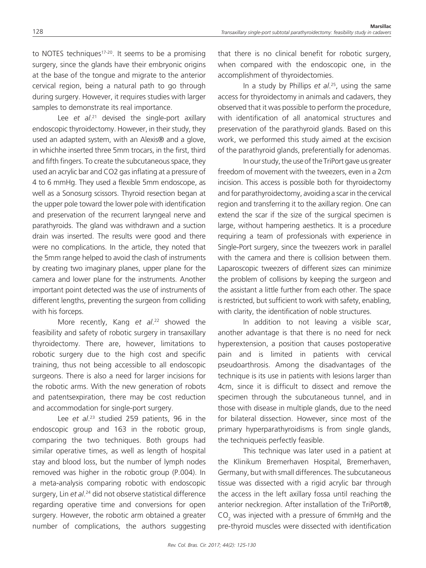to NOTES techniques<sup>17-20</sup>. It seems to be a promising surgery, since the glands have their embryonic origins at the base of the tongue and migrate to the anterior cervical region, being a natural path to go through during surgery. However, it requires studies with larger samples to demonstrate its real importance.

Lee *et al*. 21 devised the single-port axillary endoscopic thyroidectomy. However, in their study, they used an adapted system, with an Alexis® and a glove, in whichhe inserted three 5mm trocars, in the first, third and fifth fingers. To create the subcutaneous space, they used an acrylic bar and CO2 gas inflating at a pressure of 4 to 6 mmHg. They used a flexible 5mm endoscope, as well as a Sonosurg scissors. Thyroid resection began at the upper pole toward the lower pole with identification and preservation of the recurrent laryngeal nerve and parathyroids. The gland was withdrawn and a suction drain was inserted. The results were good and there were no complications. In the article, they noted that the 5mm range helped to avoid the clash of instruments by creating two imaginary planes, upper plane for the camera and lower plane for the instruments. Another important point detected was the use of instruments of different lengths, preventing the surgeon from colliding with his forceps.

More recently, Kang *et al*. 22 showed the feasibility and safety of robotic surgery in transaxillary thyroidectomy. There are, however, limitations to robotic surgery due to the high cost and specific training, thus not being accessible to all endoscopic surgeons. There is also a need for larger incisions for the robotic arms. With the new generation of robots and patentsexpiration, there may be cost reduction and accommodation for single-port surgery.

Lee *et al*. 23 studied 259 patients, 96 in the endoscopic group and 163 in the robotic group, comparing the two techniques. Both groups had similar operative times, as well as length of hospital stay and blood loss, but the number of lymph nodes removed was higher in the robotic group (P.004). In a meta-analysis comparing robotic with endoscopic surgery, Lin *et al*. 24 did not observe statistical difference regarding operative time and conversions for open surgery. However, the robotic arm obtained a greater number of complications, the authors suggesting

that there is no clinical benefit for robotic surgery, when compared with the endoscopic one, in the accomplishment of thyroidectomies.

In a study by Phillips *et al*. 25, using the same access for thyroidectomy in animals and cadavers, they observed that it was possible to perform the procedure, with identification of all anatomical structures and preservation of the parathyroid glands. Based on this work, we performed this study aimed at the excision of the parathyroid glands, preferentially for adenomas.

In our study, the use of the TriPort gave us greater freedom of movement with the tweezers, even in a 2cm incision. This access is possible both for thyroidectomy and for parathyroidectomy, avoiding a scar in the cervical region and transferring it to the axillary region. One can extend the scar if the size of the surgical specimen is large, without hampering aesthetics. It is a procedure requiring a team of professionals with experience in Single-Port surgery, since the tweezers work in parallel with the camera and there is collision between them. Laparoscopic tweezers of different sizes can minimize the problem of collisions by keeping the surgeon and the assistant a little further from each other. The space is restricted, but sufficient to work with safety, enabling, with clarity, the identification of noble structures.

In addition to not leaving a visible scar, another advantage is that there is no need for neck hyperextension, a position that causes postoperative pain and is limited in patients with cervical pseudoarthrosis. Among the disadvantages of the technique is its use in patients with lesions larger than 4cm, since it is difficult to dissect and remove the specimen through the subcutaneous tunnel, and in those with disease in multiple glands, due to the need for bilateral dissection. However, since most of the primary hyperparathyroidisms is from single glands, the techniqueis perfectly feasible.

This technique was later used in a patient at the Klinikum Bremerhaven Hospital, Bremerhaven, Germany, but with small differences. The subcutaneous tissue was dissected with a rigid acrylic bar through the access in the left axillary fossa until reaching the anterior neckregion. After installation of the TriPort®,  $CO<sub>2</sub>$  was injected with a pressure of 6mmHg and the pre-thyroid muscles were dissected with identification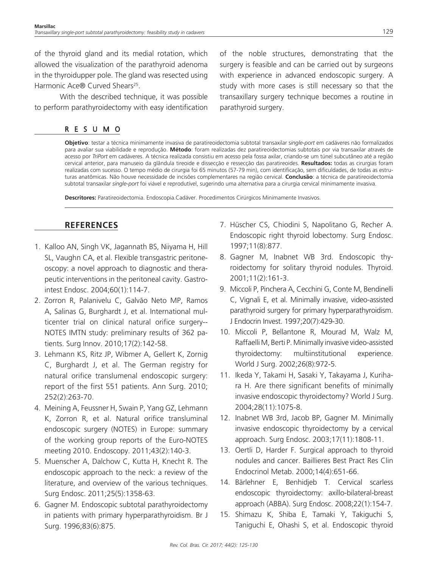of the thyroid gland and its medial rotation, which allowed the visualization of the parathyroid adenoma in the thyroidupper pole. The gland was resected using Harmonic Ace® Curved Shears<sup>25</sup>.

With the described technique, it was possible to perform parathyroidectomy with easy identification

## RESUMO

of the noble structures, demonstrating that the surgery is feasible and can be carried out by surgeons with experience in advanced endoscopic surgery. A study with more cases is still necessary so that the transaxillary surgery technique becomes a routine in parathyroid surgery.

**Objetivo**: testar a técnica minimamente invasiva de paratireoidectomia subtotal transaxilar s*ingle-port* em cadáveres não formalizados para avaliar sua viabilidade e reprodução. **Método**: foram realizadas dez paratireoidectomias subtotais por via transaxilar através de acesso por *TriPort* em cadáveres. A técnica realizada consistiu em acesso pela fossa axilar, criando-se um túnel subcutâneo até a região cervical anterior, para manuseio da glândula tireoide e dissecção e ressecção das paratireoides. **Resultados:** todas as cirurgias foram realizadas com sucesso. O tempo médio de cirurgia foi 65 minutos (57-79 min), com identificação, sem dificuldades, de todas as estruturas anatômicas. Não houve necessidade de incisões complementares na região cervical. **Conclusão**: a técnica de paratireoidectomia subtotal transaxilar *single-port* foi viável e reprodutível, sugerindo uma alternativa para a cirurgia cervical minimamente invasiva.

**Descritores:** Paratireoidectomia. Endoscopia.Cadáver. Procedimentos Cirúrgicos Minimamente Invasivos.

## **REFERENCES**

- 1. Kalloo AN, Singh VK, Jagannath BS, Niiyama H, Hill SL, Vaughn CA, et al. Flexible transgastric peritoneoscopy: a novel approach to diagnostic and therapeutic interventions in the peritoneal cavity. Gastrointest Endosc. 2004;60(1):114-7.
- 2. Zorron R, Palanivelu C, Galvão Neto MP, Ramos A, Salinas G, Burghardt J, et al. International multicenter trial on clinical natural orifice surgery-- NOTES IMTN study: preliminary results of 362 patients. Surg Innov. 2010;17(2):142-58.
- 3. Lehmann KS, Ritz JP, Wibmer A, Gellert K, Zornig C, Burghardt J, et al. The German registry for natural orifice translumenal endoscopic surgery: report of the first 551 patients. Ann Surg. 2010; 252(2):263-70.
- 4. Meining A, Feussner H, Swain P, Yang GZ, Lehmann K, Zorron R, et al. Natural orifice transluminal endoscopic surgery (NOTES) in Europe: summary of the working group reports of the Euro-NOTES meeting 2010. Endoscopy. 2011;43(2):140-3.
- 5. Muenscher A, Dalchow C, Kutta H, Knecht R. The endoscopic approach to the neck: a review of the literature, and overview of the various techniques. Surg Endosc. 2011;25(5):1358-63.
- 6. Gagner M. Endoscopic subtotal parathyroidectomy in patients with primary hyperparathyroidism. Br J Surg. 1996;83(6):875.
- 7. Hüscher CS, Chiodini S, Napolitano G, Recher A. Endoscopic right thyroid lobectomy. Surg Endosc. 1997;11(8):877.
- 8. Gagner M, Inabnet WB 3rd. Endoscopic thyroidectomy for solitary thyroid nodules. Thyroid. 2001;11(2):161-3.
- 9. Miccoli P, Pinchera A, Cecchini G, Conte M, Bendinelli C, Vignali E, et al. Minimally invasive, video-assisted parathyroid surgery for primary hyperparathyroidism. J Endocrin Invest. 1997;20(7):429-30.
- 10. Miccoli P, Bellantone R, Mourad M, Walz M, Raffaelli M, Berti P. Minimally invasive video-assisted thyroidectomy: multiinstitutional experience. World J Surg. 2002;26(8):972-5.
- 11. Ikeda Y, Takami H, Sasaki Y, Takayama J, Kurihara H. Are there significant benefits of minimally invasive endoscopic thyroidectomy? World J Surg. 2004;28(11):1075-8.
- 12. Inabnet WB 3rd, Jacob BP, Gagner M. Minimally invasive endoscopic thyroidectomy by a cervical approach. Surg Endosc. 2003;17(11):1808-11.
- 13. Oertli D, Harder F. Surgical approach to thyroid nodules and cancer. Baillieres Best Pract Res Clin Endocrinol Metab. 2000;14(4):651-66.
- 14. Bärlehner E, Benhidjeb T. Cervical scarless endoscopic thyroidectomy: axillo-bilateral-breast approach (ABBA). Surg Endosc. 2008;22(1):154-7.
- 15. Shimazu K, Shiba E, Tamaki Y, Takiguchi S, Taniguchi E, Ohashi S, et al. Endoscopic thyroid